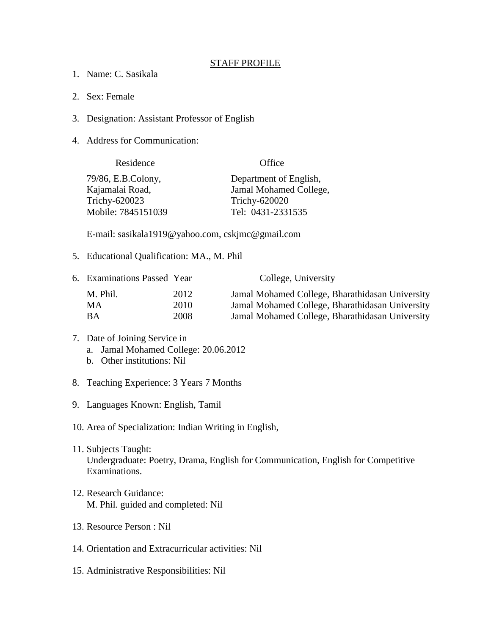## STAFF PROFILE

- 1. Name: C. Sasikala
- 2. Sex: Female
- 3. Designation: Assistant Professor of English
- 4. Address for Communication:

| Office                 |
|------------------------|
| Department of English, |
| Jamal Mohamed College, |
| Trichy-620020          |
| Tel: 0431-2331535      |
|                        |

E-mail: sasikala1919@yahoo.com, cskjmc@gmail.com

5. Educational Qualification: MA., M. Phil

|          |      | College, University                             |
|----------|------|-------------------------------------------------|
| M. Phil. | 2012 | Jamal Mohamed College, Bharathidasan University |
| MA.      | 2010 | Jamal Mohamed College, Bharathidasan University |
| ВA       | 2008 | Jamal Mohamed College, Bharathidasan University |
|          |      | 6. Examinations Passed Year                     |

## 7. Date of Joining Service in a. Jamal Mohamed College: 20.06.2012

- b. Other institutions: Nil
- 8. Teaching Experience: 3 Years 7 Months
- 9. Languages Known: English, Tamil

10. Area of Specialization: Indian Writing in English,

- 11. Subjects Taught: Undergraduate: Poetry, Drama, English for Communication, English for Competitive Examinations.
- 12. Research Guidance: M. Phil. guided and completed: Nil
- 13. Resource Person : Nil
- 14. Orientation and Extracurricular activities: Nil
- 15. Administrative Responsibilities: Nil